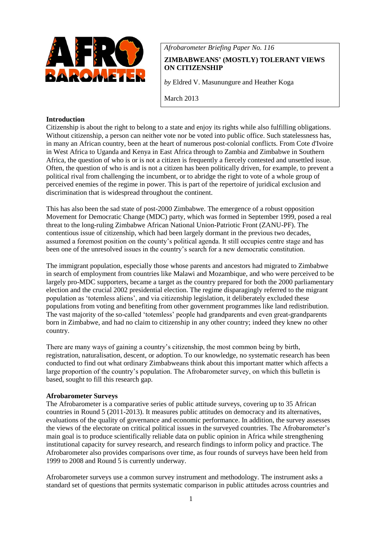

*Afrobarometer Briefing Paper No. 116*

# **ZIMBABWEANS' (MOSTLY) TOLERANT VIEWS ON CITIZENSHIP**

*by* Eldred V. Masunungure and Heather Koga

March 2013

# **Introduction**

Citizenship is about the right to belong to a state and enjoy its rights while also fulfilling obligations. Without citizenship, a person can neither vote nor be voted into public office. Such statelessness has, in many an African country, been at the heart of numerous post-colonial conflicts. From Cote d'Ivoire in West Africa to Uganda and Kenya in East Africa through to Zambia and Zimbabwe in Southern Africa, the question of who is or is not a citizen is frequently a fiercely contested and unsettled issue. Often, the question of who is and is not a citizen has been politically driven, for example, to prevent a political rival from challenging the incumbent, or to abridge the right to vote of a whole group of perceived enemies of the regime in power. This is part of the repertoire of juridical exclusion and discrimination that is widespread throughout the continent.

This has also been the sad state of post-2000 Zimbabwe. The emergence of a robust opposition Movement for Democratic Change (MDC) party, which was formed in September 1999, posed a real threat to the long-ruling Zimbabwe African National Union-Patriotic Front (ZANU-PF). The contentious issue of citizenship, which had been largely dormant in the previous two decades, assumed a foremost position on the county's political agenda. It still occupies centre stage and has been one of the unresolved issues in the country's search for a new democratic constitution.

The immigrant population, especially those whose parents and ancestors had migrated to Zimbabwe in search of employment from countries like Malawi and Mozambique, and who were perceived to be largely pro-MDC supporters, became a target as the country prepared for both the 2000 parliamentary election and the crucial 2002 presidential election. The regime disparagingly referred to the migrant population as 'totemless aliens', and via citizenship legislation, it deliberately excluded these populations from voting and benefiting from other government programmes like land redistribution. The vast majority of the so-called 'totemless' people had grandparents and even great-grandparents born in Zimbabwe, and had no claim to citizenship in any other country; indeed they knew no other country.

There are many ways of gaining a country's citizenship, the most common being by birth, registration, naturalisation, descent, or adoption. To our knowledge, no systematic research has been conducted to find out what ordinary Zimbabweans think about this important matter which affects a large proportion of the country's population. The Afrobarometer survey, on which this bulletin is based, sought to fill this research gap.

### **Afrobarometer Surveys**

The Afrobarometer is a comparative series of public attitude surveys, covering up to 35 African countries in Round 5 (2011-2013). It measures public attitudes on democracy and its alternatives, evaluations of the quality of governance and economic performance. In addition, the survey assesses the views of the electorate on critical political issues in the surveyed countries. The Afrobarometer's main goal is to produce scientifically reliable data on public opinion in Africa while strengthening institutional capacity for survey research, and research findings to inform policy and practice. The Afrobarometer also provides comparisons over time, as four rounds of surveys have been held from 1999 to 2008 and Round 5 is currently underway.

Afrobarometer surveys use a common survey instrument and methodology. The instrument asks a standard set of questions that permits systematic comparison in public attitudes across countries and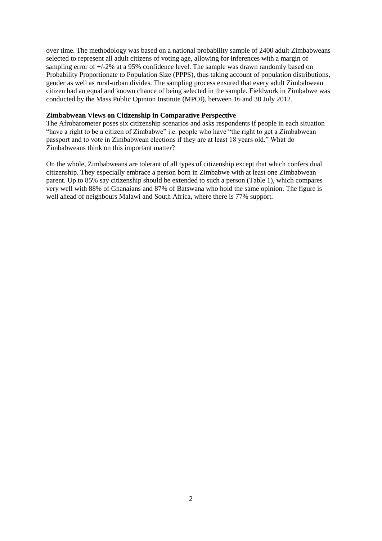over time. The methodology was based on a national probability sample of 2400 adult Zimbabweans selected to represent all adult citizens of voting age, allowing for inferences with a margin of sampling error of  $+/-2\%$  at a 95% confidence level. The sample was drawn randomly based on Probability Proportionate to Population Size (PPPS), thus taking account of population distributions, gender as well as rural-urban divides. The sampling process ensured that every adult Zimbabwean citizen had an equal and known chance of being selected in the sample. Fieldwork in Zimbabwe was conducted by the Mass Public Opinion Institute (MPOI), between 16 and 30 July 2012.

### **Zimbabwean Views on Citizenship in Comparative Perspective**

The Afrobarometer poses six citizenship scenarios and asks respondents if people in each situation "have a right to be a citizen of Zimbabwe" i.e. people who have "the right to get a Zimbabwean passport and to vote in Zimbabwean elections if they are at least 18 years old." What do Zimbabweans think on this important matter?

On the whole, Zimbabweans are tolerant of all types of citizenship except that which confers dual citizenship. They especially embrace a person born in Zimbabwe with at least one Zimbabwean parent. Up to 85% say citizenship should be extended to such a person (Table 1), which compares very well with 88% of Ghanaians and 87% of Batswana who hold the same opinion. The figure is well ahead of neighbours Malawi and South Africa, where there is 77% support.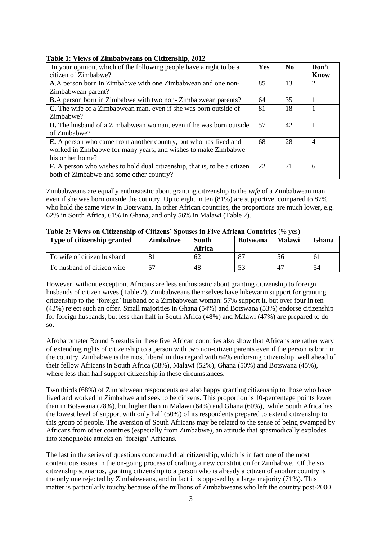## **Table 1: Views of Zimbabweans on Citizenship, 2012**

| In your opinion, which of the following people have a right to be a<br>citizen of Zimbabwe? | Yes | $\mathbf{N}\mathbf{0}$ | Don't<br>Know  |
|---------------------------------------------------------------------------------------------|-----|------------------------|----------------|
| A.A person born in Zimbabwe with one Zimbabwean and one non-                                | 85  | 13                     | 2              |
| Zimbabwean parent?                                                                          |     |                        |                |
| <b>B.</b> A person born in Zimbabwe with two non-Zimbabwean parents?                        | 64  | 35                     |                |
| C. The wife of a Zimbabwean man, even if she was born outside of                            | 81  | 18                     |                |
| Zimbabwe?                                                                                   |     |                        |                |
| <b>D.</b> The husband of a Zimbabwean woman, even if he was born outside                    | 57  | 42                     |                |
| of Zimbabwe?                                                                                |     |                        |                |
| <b>E.</b> A person who came from another country, but who has lived and                     | 68  | 28                     | $\overline{4}$ |
| worked in Zimbabwe for many years, and wishes to make Zimbabwe                              |     |                        |                |
| his or her home?                                                                            |     |                        |                |
| <b>F.</b> A person who wishes to hold dual citizenship, that is, to be a citizen            | 22  | 71                     | 6              |
| both of Zimbabwe and some other country?                                                    |     |                        |                |

Zimbabweans are equally enthusiastic about granting citizenship to the *wife* of a Zimbabwean man even if she was born outside the country. Up to eight in ten (81%) are supportive, compared to 87% who hold the same view in Botswana. In other African countries, the proportions are much lower, e.g. 62% in South Africa, 61% in Ghana, and only 56% in Malawi (Table 2).

| Type of citizenship granted | <b>Zimbabwe</b> | South<br>Africa | <b>Botswana</b> | <b>Malawi</b> | <b>Ghana</b>   |
|-----------------------------|-----------------|-----------------|-----------------|---------------|----------------|
| To wife of citizen husband  | 81              | -62             |                 | 56            | 6 <sub>1</sub> |
| To husband of citizen wife  |                 | 48              |                 | $\Delta$      | 54             |

# **Table 2: Views on Citizenship of Citizens' Spouses in Five African Countries** (% yes)

However, without exception, Africans are less enthusiastic about granting citizenship to foreign husbands of citizen wives (Table 2). Zimbabweans themselves have lukewarm support for granting citizenship to the 'foreign' husband of a Zimbabwean woman: 57% support it, but over four in ten (42%) reject such an offer. Small majorities in Ghana (54%) and Botswana (53%) endorse citizenship for foreign husbands, but less than half in South Africa (48%) and Malawi (47%) are prepared to do so.

Afrobarometer Round 5 results in these five African countries also show that Africans are rather wary of extending rights of citizenship to a person with two non-citizen parents even if the person is born in the country. Zimbabwe is the most liberal in this regard with 64% endorsing citizenship, well ahead of their fellow Africans in South Africa (58%), Malawi (52%), Ghana (50%) and Botswana (45%), where less than half support citizenship in these circumstances.

Two thirds (68%) of Zimbabwean respondents are also happy granting citizenship to those who have lived and worked in Zimbabwe and seek to be citizens. This proportion is 10-percentage points lower than in Botswana (78%), but higher than in Malawi (64%) and Ghana (60%), while South Africa has the lowest level of support with only half (50%) of its respondents prepared to extend citizenship to this group of people. The aversion of South Africans may be related to the sense of being swamped by Africans from other countries (especially from Zimbabwe), an attitude that spasmodically explodes into xenophobic attacks on 'foreign' Africans.

The last in the series of questions concerned dual citizenship, which is in fact one of the most contentious issues in the on-going process of crafting a new constitution for Zimbabwe. Of the six citizenship scenarios, granting citizenship to a person who is already a citizen of another country is the only one rejected by Zimbabweans, and in fact it is opposed by a large majority (71%). This matter is particularly touchy because of the millions of Zimbabweans who left the country post-2000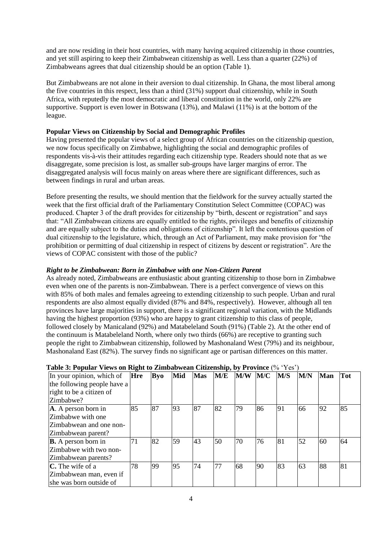and are now residing in their host countries, with many having acquired citizenship in those countries, and yet still aspiring to keep their Zimbabwean citizenship as well. Less than a quarter (22%) of Zimbabweans agrees that dual citizenship should be an option (Table 1).

But Zimbabweans are not alone in their aversion to dual citizenship. In Ghana, the most liberal among the five countries in this respect, less than a third (31%) support dual citizenship, while in South Africa, with reputedly the most democratic and liberal constitution in the world, only 22% are supportive. Support is even lower in Botswana (13%), and Malawi (11%) is at the bottom of the league.

# **Popular Views on Citizenship by Social and Demographic Profiles**

Having presented the popular views of a select group of African countries on the citizenship question, we now focus specifically on Zimbabwe, highlighting the social and demographic profiles of respondents vis-à-vis their attitudes regarding each citizenship type. Readers should note that as we disaggregate, some precision is lost, as smaller sub-groups have larger margins of error. The disaggregated analysis will focus mainly on areas where there are significant differences, such as between findings in rural and urban areas.

Before presenting the results, we should mention that the fieldwork for the survey actually started the week that the first official draft of the Parliamentary Constitution Select Committee (COPAC) was produced. Chapter 3 of the draft provides for citizenship by "birth, descent or registration" and says that: "All Zimbabwean citizens are equally entitled to the rights, privileges and benefits of citizenship and are equally subject to the duties and obligations of citizenship". It left the contentious question of dual citizenship to the legislature, which, through an Act of Parliament, may make provision for "the prohibition or permitting of dual citizenship in respect of citizens by descent or registration". Are the views of COPAC consistent with those of the public?

# *Right to be Zimbabwean: Born in Zimbabwe with one Non-Citizen Parent*

As already noted, Zimbabweans are enthusiastic about granting citizenship to those born in Zimbabwe even when one of the parents is non-Zimbabwean. There is a perfect convergence of views on this with 85% of both males and females agreeing to extending citizenship to such people. Urban and rural respondents are also almost equally divided (87% and 84%, respectively). However, although all ten provinces have large majorities in support, there is a significant regional variation, with the Midlands having the highest proportion (93%) who are happy to grant citizenship to this class of people, followed closely by Manicaland (92%) and Matabeleland South (91%) (Table 2). At the other end of the continuum is Matabeleland North, where only two thirds (66%) are receptive to granting such people the right to Zimbabwean citizenship, followed by Mashonaland West (79%) and its neighbour, Mashonaland East (82%). The survey finds no significant age or partisan differences on this matter.

| In your opinion, which of   | Hre | Byo | Mid | <b>Mas</b> | M/E | M/W | M/C | M/S | M/N | <b>Man</b> | <b>Tot</b> |
|-----------------------------|-----|-----|-----|------------|-----|-----|-----|-----|-----|------------|------------|
| the following people have a |     |     |     |            |     |     |     |     |     |            |            |
| right to be a citizen of    |     |     |     |            |     |     |     |     |     |            |            |
| Zimbabwe?                   |     |     |     |            |     |     |     |     |     |            |            |
| A. A person born in         | 85  | 87  | 93  | 87         | 82  | 79  | 86  | 91  | 66  | 92         | 85         |
| Zimbabwe with one           |     |     |     |            |     |     |     |     |     |            |            |
| Zimbabwean and one non-     |     |     |     |            |     |     |     |     |     |            |            |
| Zimbabwean parent?          |     |     |     |            |     |     |     |     |     |            |            |
| <b>B.</b> A person born in  | 71  | 82  | 59  | 43         | 50  | 70  | 76  | 81  | 52  | 60         | 64         |
| Zimbabwe with two non-      |     |     |     |            |     |     |     |     |     |            |            |
| Zimbabwean parents?         |     |     |     |            |     |     |     |     |     |            |            |
| $C$ . The wife of a         | 78  | 99  | 95  | 74         | 77  | 68  | 90  | 83  | 63  | 88         | 81         |
| Zimbabwean man, even if     |     |     |     |            |     |     |     |     |     |            |            |
| she was born outside of     |     |     |     |            |     |     |     |     |     |            |            |

# **Table 3: Popular Views on Right to Zimbabwean Citizenship, by Province** (% 'Yes')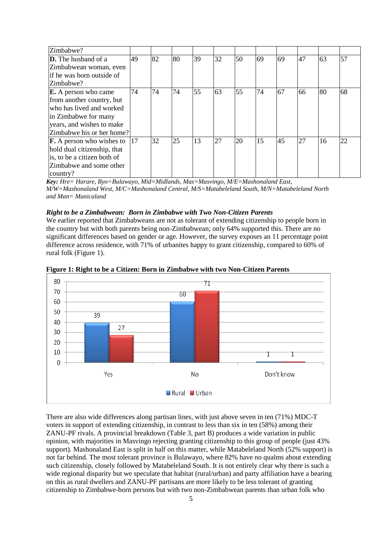| Zimbabwe?                             |               |    |    |    |    |    |    |    |    |    |    |
|---------------------------------------|---------------|----|----|----|----|----|----|----|----|----|----|
| <b>D.</b> The husband of a            | 49            | 82 | 80 | 39 | 32 | 50 | 69 | 69 | 47 | 63 | 57 |
| Zimbabwean woman, even                |               |    |    |    |    |    |    |    |    |    |    |
| lif he was born outside of            |               |    |    |    |    |    |    |    |    |    |    |
| Zimbabwe?                             |               |    |    |    |    |    |    |    |    |    |    |
| <b>E.</b> A person who came           | 74            | 74 | 74 | 55 | 63 | 55 | 74 | 67 | 66 | 80 | 68 |
| from another country, but             |               |    |    |    |    |    |    |    |    |    |    |
| who has lived and worked              |               |    |    |    |    |    |    |    |    |    |    |
| in Zimbabwe for many                  |               |    |    |    |    |    |    |    |    |    |    |
| years, and wishes to make             |               |    |    |    |    |    |    |    |    |    |    |
| Zimbabwe his or her home?             |               |    |    |    |    |    |    |    |    |    |    |
| $\mathbf{F}$ . A person who wishes to | <sup>17</sup> | 32 | 25 | 13 | 27 | 20 | 15 | 45 | 27 | 16 | 22 |
| hold dual citizenship, that           |               |    |    |    |    |    |    |    |    |    |    |
| is, to be a citizen both of           |               |    |    |    |    |    |    |    |    |    |    |
| Zimbabwe and some other               |               |    |    |    |    |    |    |    |    |    |    |
| country?                              |               |    |    |    |    |    |    |    |    |    |    |

*Key: Hre= Harare, Byo=Bulawayo, Mid=Midlands, Mas=Masvingo, M/E=Mashonaland East, M/W=Mashonaland West, M/C=Mashonaland Central, M/S=Matabeleland South, M/N=Matabeleland North and Man= Manicaland*

### *Right to be a Zimbabwean: Born in Zimbabwe with Two Non-Citizen Parents*

We earlier reported that Zimbabweans are not as tolerant of extending citizenship to people born in the country but with both parents being non-Zimbabwean; only 64% supported this. There are no significant differences based on gender or age. However, the survey exposes an 11 percentage point difference across residence, with 71% of urbanites happy to grant citizenship, compared to 60% of rural folk (Figure 1).



**Figure 1: Right to be a Citizen: Born in Zimbabwe with two Non-Citizen Parents**

There are also wide differences along partisan lines, with just above seven in ten (71%) MDC-T voters in support of extending citizenship, in contrast to less than six in ten (58%) among their ZANU-PF rivals. A provincial breakdown (Table 3, part B) produces a wide variation in public opinion, with majorities in Masvingo rejecting granting citizenship to this group of people (just 43% support). Mashonaland East is split in half on this matter, while Matabeleland North (52% support) is not far behind. The most tolerant province is Bulawayo, where 82% have no qualms about extending such citizenship, closely followed by Matabeleland South. It is not entirely clear why there is such a wide regional disparity but we speculate that habitat (rural/urban) and party affiliation have a bearing on this as rural dwellers and ZANU-PF partisans are more likely to be less tolerant of granting citizenship to Zimbabwe-born persons but with two non-Zimbabwean parents than urban folk who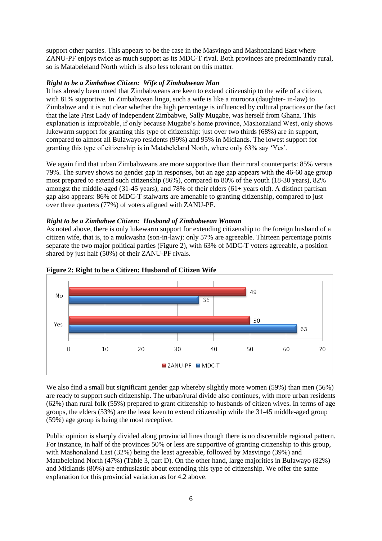support other parties. This appears to be the case in the Masvingo and Mashonaland East where ZANU-PF enjoys twice as much support as its MDC-T rival. Both provinces are predominantly rural, so is Matabeleland North which is also less tolerant on this matter.

## *Right to be a Zimbabwe Citizen: Wife of Zimbabwean Man*

It has already been noted that Zimbabweans are keen to extend citizenship to the wife of a citizen, with 81% supportive. In Zimbabwean lingo, such a wife is like a muroora (daughter- in-law) to Zimbabwe and it is not clear whether the high percentage is influenced by cultural practices or the fact that the late First Lady of independent Zimbabwe, Sally Mugabe, was herself from Ghana. This explanation is improbable, if only because Mugabe's home province, Mashonaland West, only shows lukewarm support for granting this type of citizenship: just over two thirds (68%) are in support, compared to almost all Bulawayo residents (99%) and 95% in Midlands. The lowest support for granting this type of citizenship is in Matabeleland North, where only 63% say 'Yes'.

We again find that urban Zimbabweans are more supportive than their rural counterparts: 85% versus 79%. The survey shows no gender gap in responses, but an age gap appears with the 46-60 age group most prepared to extend such citizenship (86%), compared to 80% of the youth (18-30 years), 82% amongst the middle-aged (31-45 years), and 78% of their elders (61+ years old). A distinct partisan gap also appears: 86% of MDC-T stalwarts are amenable to granting citizenship, compared to just over three quarters (77%) of voters aligned with ZANU-PF.

## *Right to be a Zimbabwe Citizen: Husband of Zimbabwean Woman*

As noted above, there is only lukewarm support for extending citizenship to the foreign husband of a citizen wife, that is, to a mukwasha (son-in-law): only 57% are agreeable. Thirteen percentage points separate the two major political parties (Figure 2), with 63% of MDC-T voters agreeable, a position shared by just half (50%) of their ZANU-PF rivals.





We also find a small but significant gender gap whereby slightly more women (59%) than men (56%) are ready to support such citizenship. The urban/rural divide also continues, with more urban residents (62%) than rural folk (55%) prepared to grant citizenship to husbands of citizen wives. In terms of age groups, the elders (53%) are the least keen to extend citizenship while the 31-45 middle-aged group (59%) age group is being the most receptive.

Public opinion is sharply divided along provincial lines though there is no discernible regional pattern. For instance, in half of the provinces 50% or less are supportive of granting citizenship to this group, with Mashonaland East (32%) being the least agreeable, followed by Masvingo (39%) and Matabeleland North (47%) (Table 3, part D). On the other hand, large majorities in Bulawayo (82%) and Midlands (80%) are enthusiastic about extending this type of citizenship. We offer the same explanation for this provincial variation as for 4.2 above.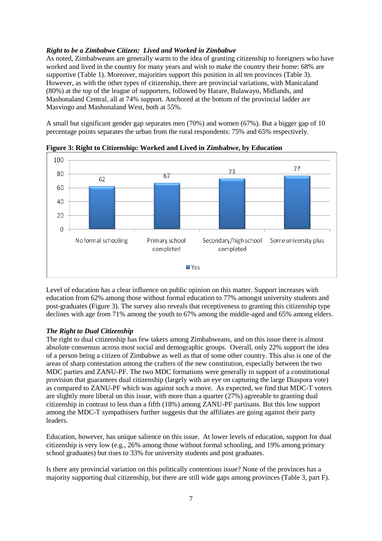## *Right to be a Zimbabwe Citizen: Lived and Worked in Zimbabwe*

As noted, Zimbabweans are generally warm to the idea of granting citizenship to foreigners who have worked and lived in the country for many years and wish to make the country their home: 68% are supportive (Table 1). Moreover, majorities support this position in all ten provinces (Table 3). However, as with the other types of citizenship, there are provincial variations, with Manicaland (80%) at the top of the league of supporters, followed by Harare, Bulawayo, Midlands, and Mashonaland Central, all at 74% support. Anchored at the bottom of the provincial ladder are Masvingo and Mashonaland West, both at 55%.

A small but significant gender gap separates men (70%) and women (67%). But a bigger gap of 10 percentage points separates the urban from the rural respondents: 75% and 65% respectively.



**Figure 3: Right to Citizenship: Worked and Lived in Zimbabwe, by Education**

Level of education has a clear influence on public opinion on this matter. Support increases with education from 62% among those without formal education to 77% amongst university students and post-graduates (Figure 3). The survey also reveals that receptiveness to granting this citizenship type declines with age from 71% among the youth to 67% among the middle-aged and 65% among elders.

### *The Right to Dual Citizenship*

The right to dual citizenship has few takers among Zimbabweans, and on this issue there is almost absolute consensus across most social and demographic groups. Overall, only 22% support the idea of a person being a citizen of Zimbabwe as well as that of some other country. This also is one of the areas of sharp contestation among the crafters of the new constitution, especially between the two MDC parties and ZANU-PF. The two MDC formations were generally in support of a constitutional provision that guarantees dual citizenship (largely with an eye on capturing the large Diaspora vote) as compared to ZANU-PF which was against such a move. As expected, we find that MDC-T voters are slightly more liberal on this issue, with more than a quarter (27%) agreeable to granting dual citizenship in contrast to less than a fifth (18%) among ZANU-PF partisans. But this low support among the MDC-T sympathisers further suggests that the affiliates are going against their party leaders.

Education, however, has unique salience on this issue. At lower levels of education, support for dual citizenship is very low (e.g., 26% among those without formal schooling, and 19% among primary school graduates) but rises to 33% for university students and post graduates.

Is there any provincial variation on this politically contentious issue? None of the provinces has a majority supporting dual citizenship, but there are still wide gaps among provinces (Table 3, part F).